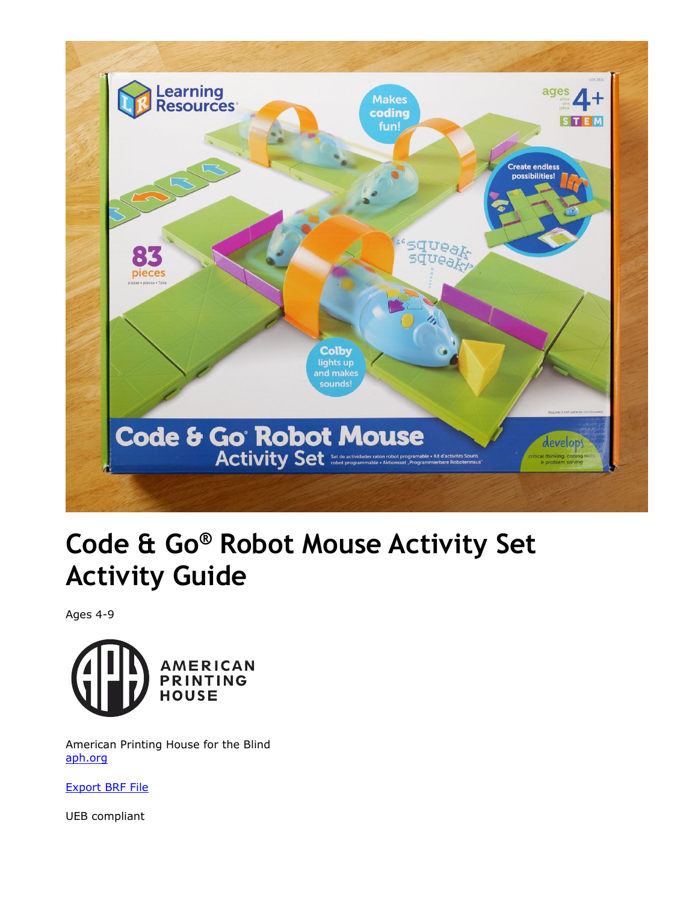<span id="page-0-0"></span>

# **Code & Go® Robot Mouse Activity Set Activity Guide**

Ages 4-9



 American Printing House for the Blind [aph.org](http://aph.org/) 

[Export BRF File](https://tech.aph.org/codeandgo/Activity_Guide.brf) 

UEB compliant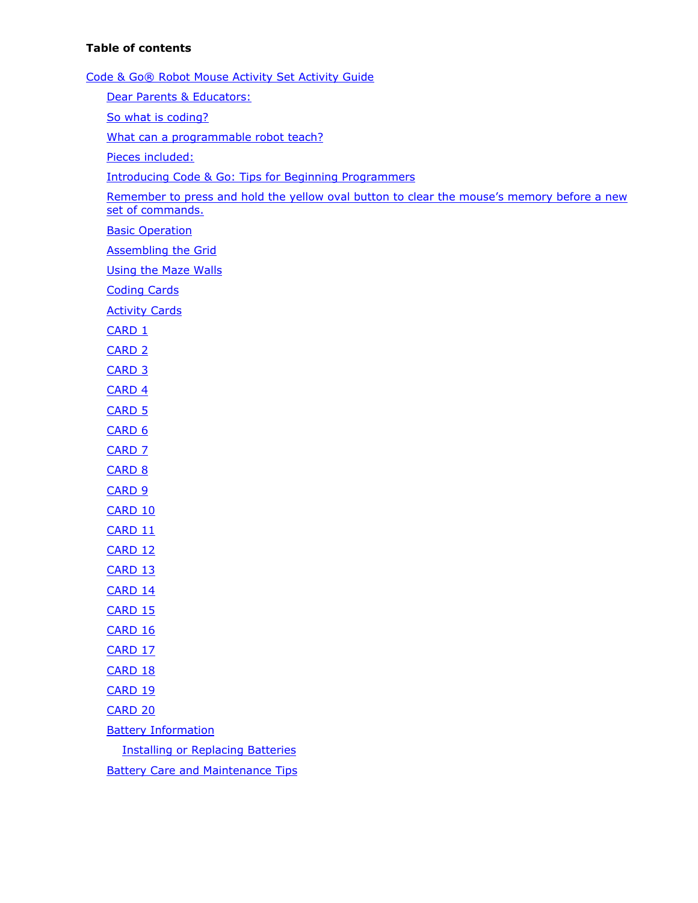#### **Table of contents**

 [Code & Go® Robot Mouse Activity Set Activity Guide](#page-0-0)  [Dear Parents & Educators:](#page-2-0)  [What can a programmable robot teach?](#page-2-0)  [Introducing Code & Go: Tips for Beginning Programmers](#page-2-0)  Remember to press and hold the yellow oval button to clear the mouse's memory before a new [Assembling the Grid](#page-4-0)  [Using the Maze Walls](#page-4-0)  **Battery Care and Maintenance Tips** [So what is coding?](#page-2-0)  [Pieces included:](#page-2-0)  [set of commands.](#page-3-0)  **Basic Operation** [Coding Cards](#page-5-0)  **Activity Cards** [CARD 1](#page-5-0)  [CARD 2](#page-6-0)  [CARD 3](#page-6-0)  [CARD 4](#page-6-0)  [CARD 5](#page-7-0)  [CARD 6](#page-7-0)  [CARD 7](#page-8-0)  CARD<sub>8</sub> [CARD 9](#page-9-0)  [CARD 10](#page-10-0)  [CARD 11](#page-10-0)  [CARD 12](#page-11-0)  [CARD 13](#page-11-0)  [CARD 14](#page-12-0)  [CARD 15](#page-12-0)  CARD<sub>16</sub> [CARD 17](#page-13-0)  [CARD 18](#page-13-0)  CARD<sub>19</sub> [CARD 20](#page-15-0)  [Battery Information](#page-15-0)  [Installing or Replacing Batteries](#page-15-0)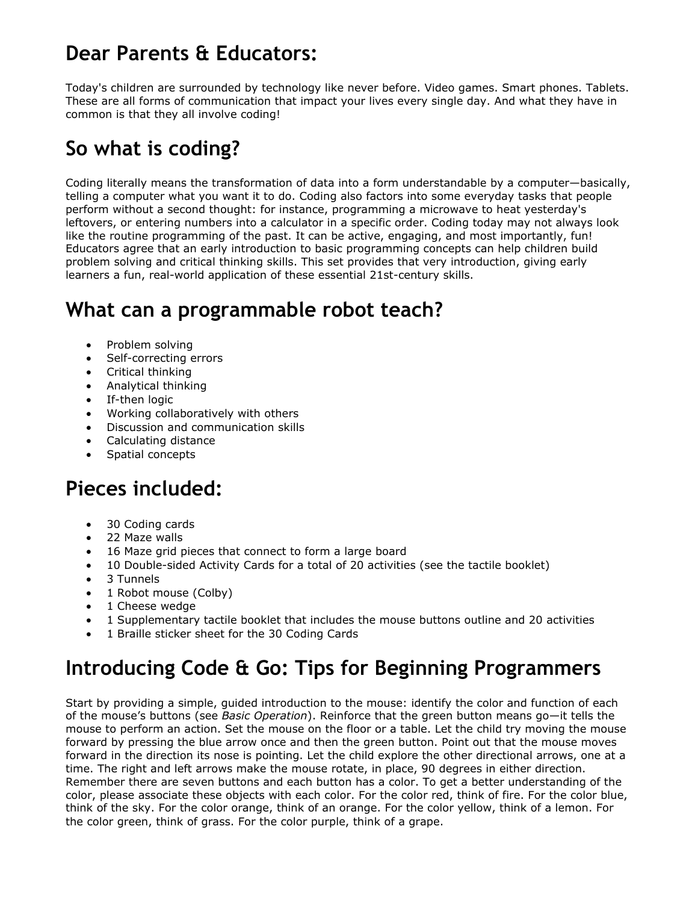#### <span id="page-2-0"></span>**Dear Parents & Educators:**

 Today's children are surrounded by technology like never before. Video games. Smart phones. Tablets. These are all forms of communication that impact your lives every single day. And what they have in common is that they all involve coding!

### **So what is coding?**

 Coding literally means the transformation of data into a form understandable by a computer—basically, telling a computer what you want it to do. Coding also factors into some everyday tasks that people perform without a second thought: for instance, programming a microwave to heat yesterday's leftovers, or entering numbers into a calculator in a specific order. Coding today may not always look like the routine programming of the past. It can be active, engaging, and most importantly, fun! Educators agree that an early introduction to basic programming concepts can help children build problem solving and critical thinking skills. This set provides that very introduction, giving early learners a fun, real-world application of these essential 21st-century skills.

#### **What can a programmable robot teach?**

- Problem solving
- Self-correcting errors
- Critical thinking
- Analytical thinking
- If-then logic
- Working collaboratively with others
- Discussion and communication skills
- Calculating distance
- Spatial concepts

#### **Pieces included:**

- 30 Coding cards
- 22 Maze walls
- 16 Maze grid pieces that connect to form a large board
- 10 Double-sided Activity Cards for a total of 20 activities (see the tactile booklet)
- 3 Tunnels
- 1 Robot mouse (Colby)
- 1 Cheese wedge
- 1 Supplementary tactile booklet that includes the mouse buttons outline and 20 activities
- 1 Braille sticker sheet for the 30 Coding Cards

#### **Introducing Code & Go: Tips for Beginning Programmers**

 Start by providing a simple, guided introduction to the mouse: identify the color and function of each of the mouse's buttons (see *Basic Operation*). Reinforce that the green button means go—it tells the mouse to perform an action. Set the mouse on the floor or a table. Let the child try moving the mouse forward by pressing the blue arrow once and then the green button. Point out that the mouse moves forward in the direction its nose is pointing. Let the child explore the other directional arrows, one at a time. The right and left arrows make the mouse rotate, in place, 90 degrees in either direction. Remember there are seven buttons and each button has a color. To get a better understanding of the color, please associate these objects with each color. For the color red, think of fire. For the color blue, think of the sky. For the color orange, think of an orange. For the color yellow, think of a lemon. For the color green, think of grass. For the color purple, think of a grape.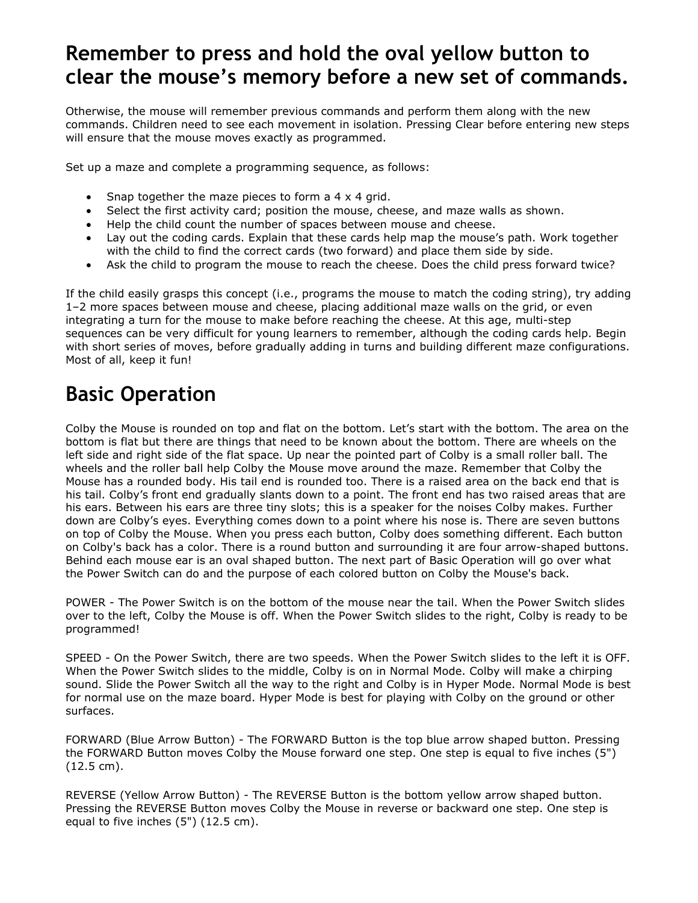#### <span id="page-3-0"></span> **clear the mouse's memory before a new set of commands. Remember to press and hold the oval yellow button to**

 Otherwise, the mouse will remember previous commands and perform them along with the new commands. Children need to see each movement in isolation. Pressing Clear before entering new steps will ensure that the mouse moves exactly as programmed.

Set up a maze and complete a programming sequence, as follows:

- Snap together the maze pieces to form a 4 x 4 grid.
- Select the first activity card; position the mouse, cheese, and maze walls as shown.
- Help the child count the number of spaces between mouse and cheese.
- • Lay out the coding cards. Explain that these cards help map the mouse's path. Work together with the child to find the correct cards (two forward) and place them side by side.
- Ask the child to program the mouse to reach the cheese. Does the child press forward twice?

 If the child easily grasps this concept (i.e., programs the mouse to match the coding string), try adding 1–2 more spaces between mouse and cheese, placing additional maze walls on the grid, or even integrating a turn for the mouse to make before reaching the cheese. At this age, multi-step sequences can be very difficult for young learners to remember, although the coding cards help. Begin with short series of moves, before gradually adding in turns and building different maze configurations. Most of all, keep it fun!

#### **Basic Operation**

Colby the Mouse is rounded on top and flat on the bottom. Let's start with the bottom. The area on the bottom is flat but there are things that need to be known about the bottom. There are wheels on the left side and right side of the flat space. Up near the pointed part of Colby is a small roller ball. The wheels and the roller ball help Colby the Mouse move around the maze. Remember that Colby the Mouse has a rounded body. His tail end is rounded too. There is a raised area on the back end that is his tail. Colby's front end gradually slants down to a point. The front end has two raised areas that are his ears. Between his ears are three tiny slots; this is a speaker for the noises Colby makes. Further down are Colby's eyes. Everything comes down to a point where his nose is. There are seven buttons on top of Colby the Mouse. When you press each button, Colby does something different. Each button on Colby's back has a color. There is a round button and surrounding it are four arrow-shaped buttons. Behind each mouse ear is an oval shaped button. The next part of Basic Operation will go over what the Power Switch can do and the purpose of each colored button on Colby the Mouse's back.

POWER - The Power Switch is on the bottom of the mouse near the tail. When the Power Switch slides over to the left, Colby the Mouse is off. When the Power Switch slides to the right, Colby is ready to be programmed!

SPEED - On the Power Switch, there are two speeds. When the Power Switch slides to the left it is OFF. When the Power Switch slides to the middle, Colby is on in Normal Mode. Colby will make a chirping sound. Slide the Power Switch all the way to the right and Colby is in Hyper Mode. Normal Mode is best for normal use on the maze board. Hyper Mode is best for playing with Colby on the ground or other surfaces.

FORWARD (Blue Arrow Button) - The FORWARD Button is the top blue arrow shaped button. Pressing the FORWARD Button moves Colby the Mouse forward one step. One step is equal to five inches (5") (12.5 cm).

REVERSE (Yellow Arrow Button) - The REVERSE Button is the bottom yellow arrow shaped button. Pressing the REVERSE Button moves Colby the Mouse in reverse or backward one step. One step is equal to five inches (5") (12.5 cm).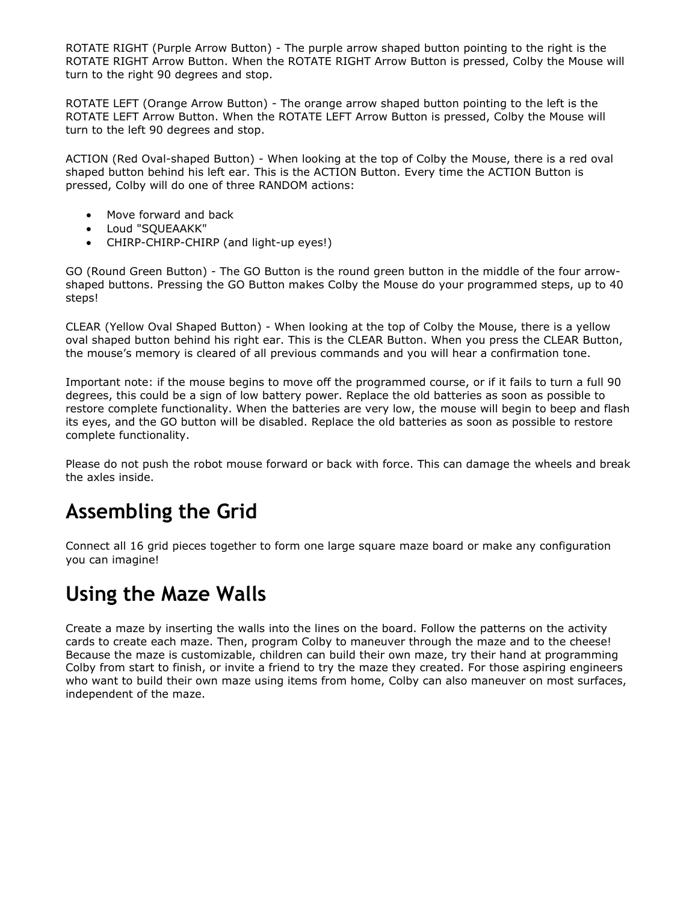<span id="page-4-0"></span> ROTATE RIGHT (Purple Arrow Button) - The purple arrow shaped button pointing to the right is the ROTATE RIGHT Arrow Button. When the ROTATE RIGHT Arrow Button is pressed, Colby the Mouse will turn to the right 90 degrees and stop.

 ROTATE LEFT (Orange Arrow Button) - The orange arrow shaped button pointing to the left is the ROTATE LEFT Arrow Button. When the ROTATE LEFT Arrow Button is pressed, Colby the Mouse will turn to the left 90 degrees and stop.

 ACTION (Red Oval-shaped Button) - When looking at the top of Colby the Mouse, there is a red oval shaped button behind his left ear. This is the ACTION Button. Every time the ACTION Button is pressed, Colby will do one of three RANDOM actions:

- Move forward and back
- Loud "SQUEAAKK"
- CHIRP-CHIRP-CHIRP (and light-up eyes!)

 GO (Round Green Button) - The GO Button is the round green button in the middle of the four arrow- shaped buttons. Pressing the GO Button makes Colby the Mouse do your programmed steps, up to 40 steps!

 CLEAR (Yellow Oval Shaped Button) - When looking at the top of Colby the Mouse, there is a yellow oval shaped button behind his right ear. This is the CLEAR Button. When you press the CLEAR Button, the mouse's memory is cleared of all previous commands and you will hear a confirmation tone.

 Important note: if the mouse begins to move off the programmed course, or if it fails to turn a full 90 degrees, this could be a sign of low battery power. Replace the old batteries as soon as possible to restore complete functionality. When the batteries are very low, the mouse will begin to beep and flash its eyes, and the GO button will be disabled. Replace the old batteries as soon as possible to restore complete functionality.

 Please do not push the robot mouse forward or back with force. This can damage the wheels and break the axles inside.

#### **Assembling the Grid**

 Connect all 16 grid pieces together to form one large square maze board or make any configuration you can imagine!

#### **Using the Maze Walls**

 Create a maze by inserting the walls into the lines on the board. Follow the patterns on the activity cards to create each maze. Then, program Colby to maneuver through the maze and to the cheese! Because the maze is customizable, children can build their own maze, try their hand at programming Colby from start to finish, or invite a friend to try the maze they created. For those aspiring engineers who want to build their own maze using items from home, Colby can also maneuver on most surfaces, independent of the maze.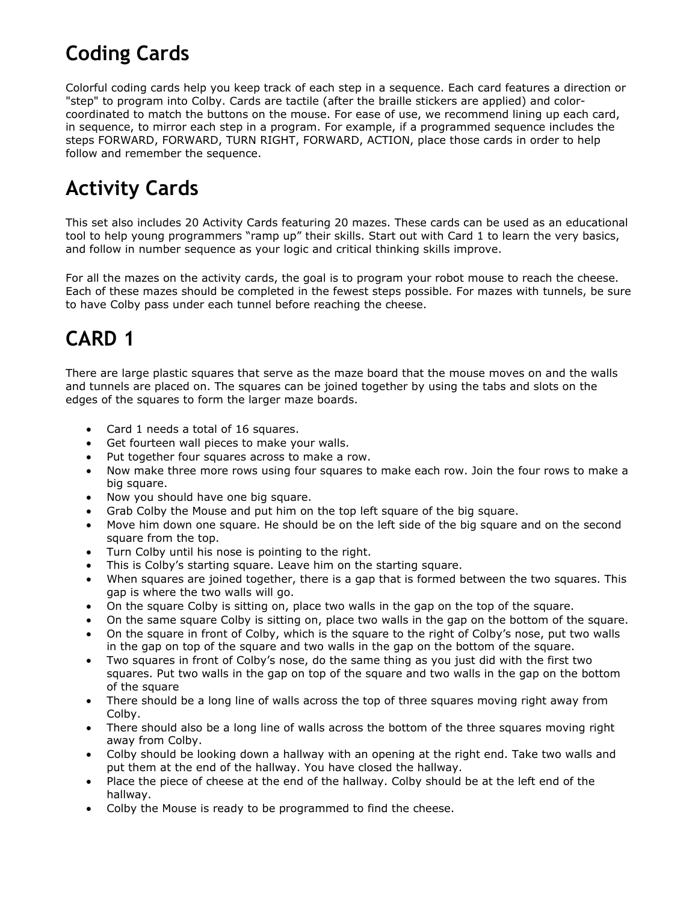#### <span id="page-5-0"></span>**Coding Cards**

 Colorful coding cards help you keep track of each step in a sequence. Each card features a direction or "step" to program into Colby. Cards are tactile (after the braille stickers are applied) and color- coordinated to match the buttons on the mouse. For ease of use, we recommend lining up each card, in sequence, to mirror each step in a program. For example, if a programmed sequence includes the steps FORWARD, FORWARD, TURN RIGHT, FORWARD, ACTION, place those cards in order to help follow and remember the sequence.

#### **Activity Cards**

 This set also includes 20 Activity Cards featuring 20 mazes. These cards can be used as an educational tool to help young programmers "ramp up" their skills. Start out with Card 1 to learn the very basics, and follow in number sequence as your logic and critical thinking skills improve.

 For all the mazes on the activity cards, the goal is to program your robot mouse to reach the cheese. Each of these mazes should be completed in the fewest steps possible. For mazes with tunnels, be sure to have Colby pass under each tunnel before reaching the cheese.

#### **CARD 1**

 There are large plastic squares that serve as the maze board that the mouse moves on and the walls and tunnels are placed on. The squares can be joined together by using the tabs and slots on the edges of the squares to form the larger maze boards.

- Card 1 needs a total of 16 squares.
- Get fourteen wall pieces to make your walls.
- Put together four squares across to make a row.
- • Now make three more rows using four squares to make each row. Join the four rows to make a big square.
- Now you should have one big square.
- Grab Colby the Mouse and put him on the top left square of the big square.
- • Move him down one square. He should be on the left side of the big square and on the second square from the top.
- Turn Colby until his nose is pointing to the right.
- This is Colby's starting square. Leave him on the starting square.
- • When squares are joined together, there is a gap that is formed between the two squares. This gap is where the two walls will go.
- On the square Colby is sitting on, place two walls in the gap on the top of the square.
- On the same square Colby is sitting on, place two walls in the gap on the bottom of the square.
- • On the square in front of Colby, which is the square to the right of Colby's nose, put two walls in the gap on top of the square and two walls in the gap on the bottom of the square.
- • Two squares in front of Colby's nose, do the same thing as you just did with the first two squares. Put two walls in the gap on top of the square and two walls in the gap on the bottom of the square
- • There should be a long line of walls across the top of three squares moving right away from Colby.
- • There should also be a long line of walls across the bottom of the three squares moving right away from Colby.
- • Colby should be looking down a hallway with an opening at the right end. Take two walls and put them at the end of the hallway. You have closed the hallway.
- • Place the piece of cheese at the end of the hallway. Colby should be at the left end of the hallway.
- Colby the Mouse is ready to be programmed to find the cheese.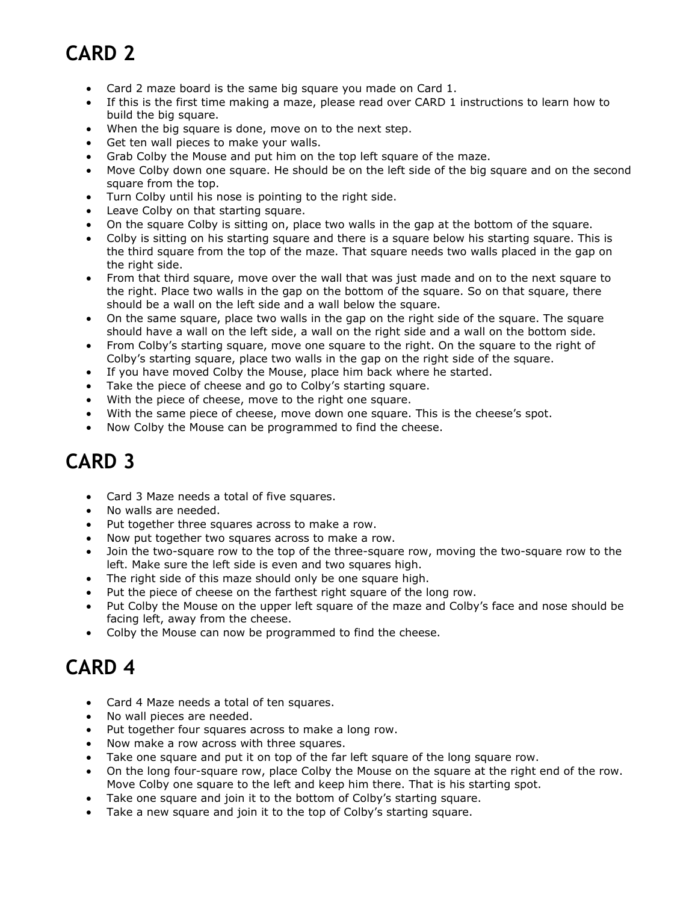- <span id="page-6-0"></span>• Card 2 maze board is the same big square you made on Card 1.
- • If this is the first time making a maze, please read over CARD 1 instructions to learn how to build the big square.
- When the big square is done, move on to the next step.
- Get ten wall pieces to make your walls.
- Grab Colby the Mouse and put him on the top left square of the maze.
- • Move Colby down one square. He should be on the left side of the big square and on the second square from the top.
- Turn Colby until his nose is pointing to the right side.
- Leave Colby on that starting square.
- On the square Colby is sitting on, place two walls in the gap at the bottom of the square.
- • Colby is sitting on his starting square and there is a square below his starting square. This is the third square from the top of the maze. That square needs two walls placed in the gap on the right side.
- • From that third square, move over the wall that was just made and on to the next square to the right. Place two walls in the gap on the bottom of the square. So on that square, there should be a wall on the left side and a wall below the square.
- • On the same square, place two walls in the gap on the right side of the square. The square should have a wall on the left side, a wall on the right side and a wall on the bottom side.
- • From Colby's starting square, move one square to the right. On the square to the right of Colby's starting square, place two walls in the gap on the right side of the square.
- If you have moved Colby the Mouse, place him back where he started.
- Take the piece of cheese and go to Colby's starting square.
- With the piece of cheese, move to the right one square.
- With the same piece of cheese, move down one square. This is the cheese's spot.
- Now Colby the Mouse can be programmed to find the cheese.

#### **CARD 3**

- Card 3 Maze needs a total of five squares.
- No walls are needed.
- Put together three squares across to make a row.
- Now put together two squares across to make a row.
- Join the two-square row to the top of the three-square row, moving the two-square row to the left. Make sure the left side is even and two squares high.
- The right side of this maze should only be one square high.
- Put the piece of cheese on the farthest right square of the long row.
- Put Colby the Mouse on the upper left square of the maze and Colby's face and nose should be facing left, away from the cheese.
- Colby the Mouse can now be programmed to find the cheese.

- Card 4 Maze needs a total of ten squares.
- No wall pieces are needed.
- Put together four squares across to make a long row.
- Now make a row across with three squares.
- Take one square and put it on top of the far left square of the long square row.
- • On the long four-square row, place Colby the Mouse on the square at the right end of the row. Move Colby one square to the left and keep him there. That is his starting spot.
- Take one square and join it to the bottom of Colby's starting square.
- Take a new square and join it to the top of Colby's starting square.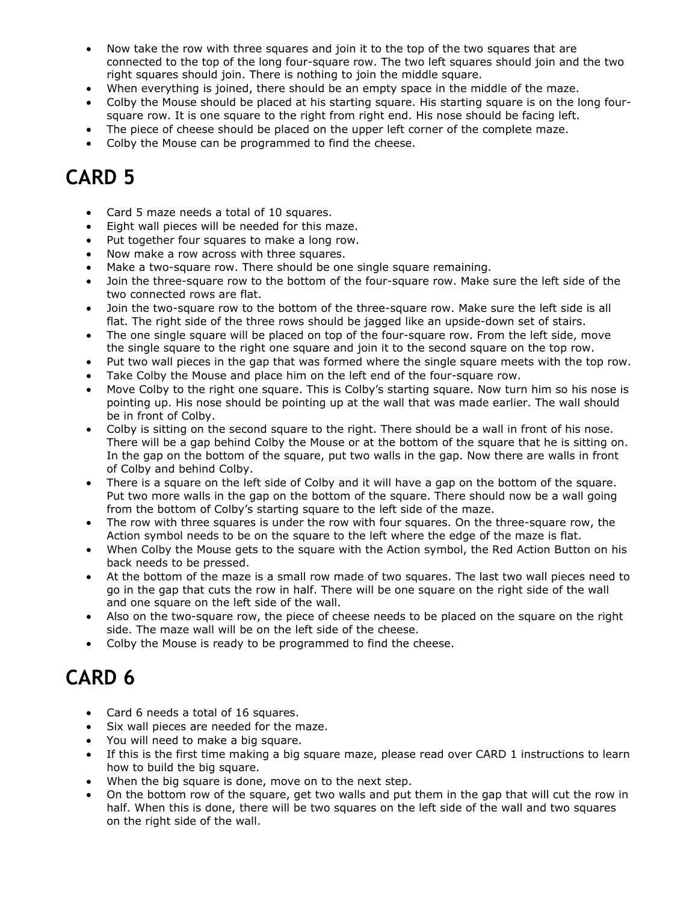- <span id="page-7-0"></span> • Now take the row with three squares and join it to the top of the two squares that are connected to the top of the long four-square row. The two left squares should join and the two right squares should join. There is nothing to join the middle square.
- When everything is joined, there should be an empty space in the middle of the maze.
- • Colby the Mouse should be placed at his starting square. His starting square is on the long four-square row. It is one square to the right from right end. His nose should be facing left.
- The piece of cheese should be placed on the upper left corner of the complete maze.
- Colby the Mouse can be programmed to find the cheese.

- Card 5 maze needs a total of 10 squares.
- Eight wall pieces will be needed for this maze.
- Put together four squares to make a long row.
- Now make a row across with three squares.
- Make a two-square row. There should be one single square remaining.
- • Join the three-square row to the bottom of the four-square row. Make sure the left side of the two connected rows are flat.
- • Join the two-square row to the bottom of the three-square row. Make sure the left side is all flat. The right side of the three rows should be jagged like an upside-down set of stairs.
- • The one single square will be placed on top of the four-square row. From the left side, move the single square to the right one square and join it to the second square on the top row.
- Put two wall pieces in the gap that was formed where the single square meets with the top row.
- Take Colby the Mouse and place him on the left end of the four-square row.
- • Move Colby to the right one square. This is Colby's starting square. Now turn him so his nose is pointing up. His nose should be pointing up at the wall that was made earlier. The wall should be in front of Colby.
- • Colby is sitting on the second square to the right. There should be a wall in front of his nose. There will be a gap behind Colby the Mouse or at the bottom of the square that he is sitting on. In the gap on the bottom of the square, put two walls in the gap. Now there are walls in front of Colby and behind Colby.
- • There is a square on the left side of Colby and it will have a gap on the bottom of the square. Put two more walls in the gap on the bottom of the square. There should now be a wall going from the bottom of Colby's starting square to the left side of the maze.
- • The row with three squares is under the row with four squares. On the three-square row, the Action symbol needs to be on the square to the left where the edge of the maze is flat.
- • When Colby the Mouse gets to the square with the Action symbol, the Red Action Button on his back needs to be pressed.
- • At the bottom of the maze is a small row made of two squares. The last two wall pieces need to go in the gap that cuts the row in half. There will be one square on the right side of the wall and one square on the left side of the wall.
- • Also on the two-square row, the piece of cheese needs to be placed on the square on the right side. The maze wall will be on the left side of the cheese.
- Colby the Mouse is ready to be programmed to find the cheese.

- Card 6 needs a total of 16 squares.
- Six wall pieces are needed for the maze.
- You will need to make a big square.
- • If this is the first time making a big square maze, please read over CARD 1 instructions to learn how to build the big square.
- When the big square is done, move on to the next step.
- • On the bottom row of the square, get two walls and put them in the gap that will cut the row in half. When this is done, there will be two squares on the left side of the wall and two squares on the right side of the wall.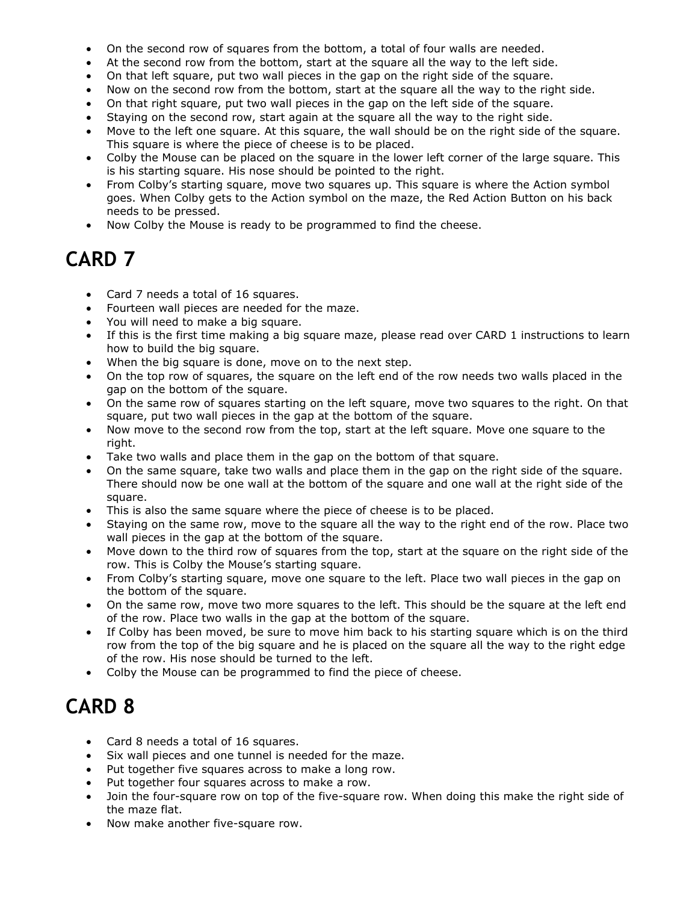- <span id="page-8-0"></span>• On the second row of squares from the bottom, a total of four walls are needed.
- At the second row from the bottom, start at the square all the way to the left side.
- On that left square, put two wall pieces in the gap on the right side of the square.
- Now on the second row from the bottom, start at the square all the way to the right side.
- On that right square, put two wall pieces in the gap on the left side of the square.
- Staying on the second row, start again at the square all the way to the right side.
- • Move to the left one square. At this square, the wall should be on the right side of the square. This square is where the piece of cheese is to be placed.
- • Colby the Mouse can be placed on the square in the lower left corner of the large square. This is his starting square. His nose should be pointed to the right.
- • From Colby's starting square, move two squares up. This square is where the Action symbol goes. When Colby gets to the Action symbol on the maze, the Red Action Button on his back needs to be pressed.
- Now Colby the Mouse is ready to be programmed to find the cheese.

- Card 7 needs a total of 16 squares.
- Fourteen wall pieces are needed for the maze.
- You will need to make a big square.
- • If this is the first time making a big square maze, please read over CARD 1 instructions to learn how to build the big square.
- When the big square is done, move on to the next step.
- • On the top row of squares, the square on the left end of the row needs two walls placed in the gap on the bottom of the square.
- • On the same row of squares starting on the left square, move two squares to the right. On that square, put two wall pieces in the gap at the bottom of the square.
- • Now move to the second row from the top, start at the left square. Move one square to the right.
- Take two walls and place them in the gap on the bottom of that square.
- • On the same square, take two walls and place them in the gap on the right side of the square. There should now be one wall at the bottom of the square and one wall at the right side of the square.
- This is also the same square where the piece of cheese is to be placed.
- • Staying on the same row, move to the square all the way to the right end of the row. Place two wall pieces in the gap at the bottom of the square.
- • Move down to the third row of squares from the top, start at the square on the right side of the row. This is Colby the Mouse's starting square.
- • From Colby's starting square, move one square to the left. Place two wall pieces in the gap on the bottom of the square.
- • On the same row, move two more squares to the left. This should be the square at the left end of the row. Place two walls in the gap at the bottom of the square.
- • If Colby has been moved, be sure to move him back to his starting square which is on the third row from the top of the big square and he is placed on the square all the way to the right edge of the row. His nose should be turned to the left.
- Colby the Mouse can be programmed to find the piece of cheese.

- Card 8 needs a total of 16 squares.
- Six wall pieces and one tunnel is needed for the maze.
- Put together five squares across to make a long row.
- Put together four squares across to make a row.
- • Join the four-square row on top of the five-square row. When doing this make the right side of the maze flat.
- Now make another five-square row.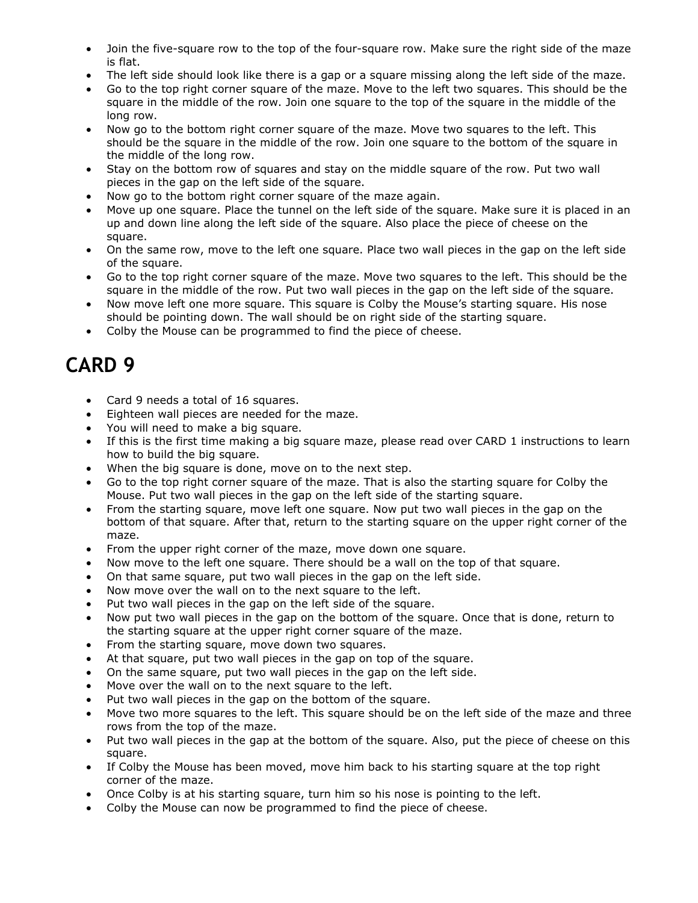- <span id="page-9-0"></span> • Join the five-square row to the top of the four-square row. Make sure the right side of the maze is flat.
- The left side should look like there is a gap or a square missing along the left side of the maze.
- • Go to the top right corner square of the maze. Move to the left two squares. This should be the square in the middle of the row. Join one square to the top of the square in the middle of the long row.
- • Now go to the bottom right corner square of the maze. Move two squares to the left. This should be the square in the middle of the row. Join one square to the bottom of the square in the middle of the long row.
- • Stay on the bottom row of squares and stay on the middle square of the row. Put two wall pieces in the gap on the left side of the square.
- Now go to the bottom right corner square of the maze again.
- • Move up one square. Place the tunnel on the left side of the square. Make sure it is placed in an up and down line along the left side of the square. Also place the piece of cheese on the square.
- • On the same row, move to the left one square. Place two wall pieces in the gap on the left side of the square.
- • Go to the top right corner square of the maze. Move two squares to the left. This should be the square in the middle of the row. Put two wall pieces in the gap on the left side of the square.
- • Now move left one more square. This square is Colby the Mouse's starting square. His nose should be pointing down. The wall should be on right side of the starting square.
- Colby the Mouse can be programmed to find the piece of cheese.

- Card 9 needs a total of 16 squares.
- Eighteen wall pieces are needed for the maze.
- You will need to make a big square.
- • If this is the first time making a big square maze, please read over CARD 1 instructions to learn how to build the big square.
- When the big square is done, move on to the next step.
- • Go to the top right corner square of the maze. That is also the starting square for Colby the Mouse. Put two wall pieces in the gap on the left side of the starting square.
- • From the starting square, move left one square. Now put two wall pieces in the gap on the bottom of that square. After that, return to the starting square on the upper right corner of the maze.
- From the upper right corner of the maze, move down one square.
- Now move to the left one square. There should be a wall on the top of that square.
- On that same square, put two wall pieces in the gap on the left side.
- Now move over the wall on to the next square to the left.
- Put two wall pieces in the gap on the left side of the square.
- • Now put two wall pieces in the gap on the bottom of the square. Once that is done, return to the starting square at the upper right corner square of the maze.
- From the starting square, move down two squares.
- At that square, put two wall pieces in the gap on top of the square.
- On the same square, put two wall pieces in the gap on the left side.
- Move over the wall on to the next square to the left.
- Put two wall pieces in the gap on the bottom of the square.
- • Move two more squares to the left. This square should be on the left side of the maze and three rows from the top of the maze.
- • Put two wall pieces in the gap at the bottom of the square. Also, put the piece of cheese on this square.
- • If Colby the Mouse has been moved, move him back to his starting square at the top right corner of the maze.
- Once Colby is at his starting square, turn him so his nose is pointing to the left.
- Colby the Mouse can now be programmed to find the piece of cheese.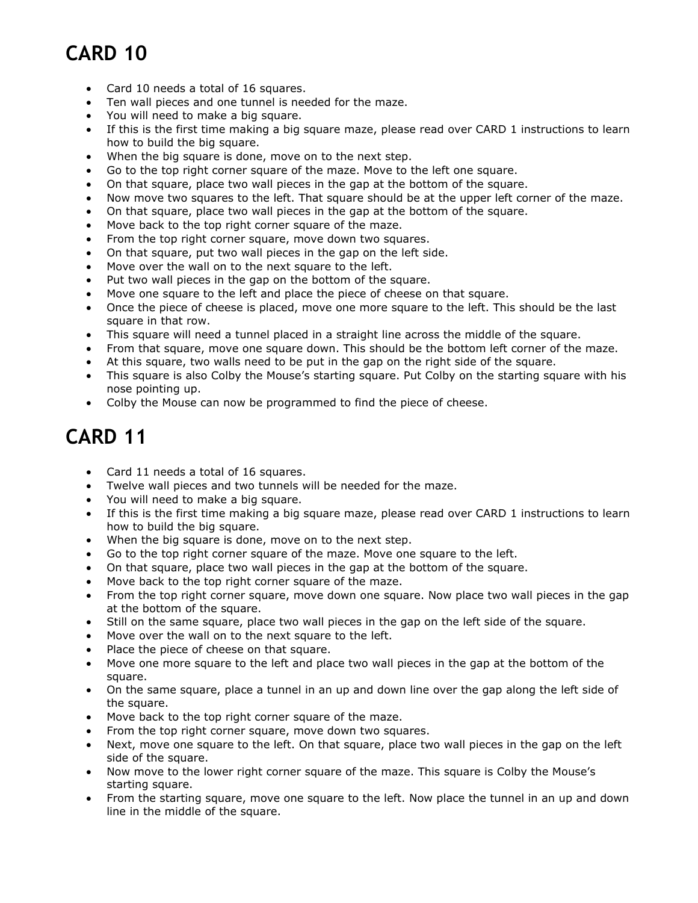- <span id="page-10-0"></span>• Card 10 needs a total of 16 squares.
- Ten wall pieces and one tunnel is needed for the maze.
- You will need to make a big square.
- • If this is the first time making a big square maze, please read over CARD 1 instructions to learn how to build the big square.
- When the big square is done, move on to the next step.
- Go to the top right corner square of the maze. Move to the left one square.
- On that square, place two wall pieces in the gap at the bottom of the square.
- Now move two squares to the left. That square should be at the upper left corner of the maze.
- On that square, place two wall pieces in the gap at the bottom of the square.
- Move back to the top right corner square of the maze.
- From the top right corner square, move down two squares.
- On that square, put two wall pieces in the gap on the left side.
- Move over the wall on to the next square to the left.
- Put two wall pieces in the gap on the bottom of the square.
- Move one square to the left and place the piece of cheese on that square.
- • Once the piece of cheese is placed, move one more square to the left. This should be the last square in that row.
- This square will need a tunnel placed in a straight line across the middle of the square.
- From that square, move one square down. This should be the bottom left corner of the maze.
- At this square, two walls need to be put in the gap on the right side of the square.
- • This square is also Colby the Mouse's starting square. Put Colby on the starting square with his nose pointing up.
- Colby the Mouse can now be programmed to find the piece of cheese.

- Card 11 needs a total of 16 squares.
- Twelve wall pieces and two tunnels will be needed for the maze.
- You will need to make a big square.
- • If this is the first time making a big square maze, please read over CARD 1 instructions to learn how to build the big square.
- When the big square is done, move on to the next step.
- Go to the top right corner square of the maze. Move one square to the left.
- On that square, place two wall pieces in the gap at the bottom of the square.
- Move back to the top right corner square of the maze.
- • From the top right corner square, move down one square. Now place two wall pieces in the gap at the bottom of the square.
- Still on the same square, place two wall pieces in the gap on the left side of the square.
- Move over the wall on to the next square to the left.
- Place the piece of cheese on that square.
- • Move one more square to the left and place two wall pieces in the gap at the bottom of the square.
- • On the same square, place a tunnel in an up and down line over the gap along the left side of the square.
- Move back to the top right corner square of the maze.
- From the top right corner square, move down two squares.
- • Next, move one square to the left. On that square, place two wall pieces in the gap on the left side of the square.
- • Now move to the lower right corner square of the maze. This square is Colby the Mouse's starting square.
- • From the starting square, move one square to the left. Now place the tunnel in an up and down line in the middle of the square.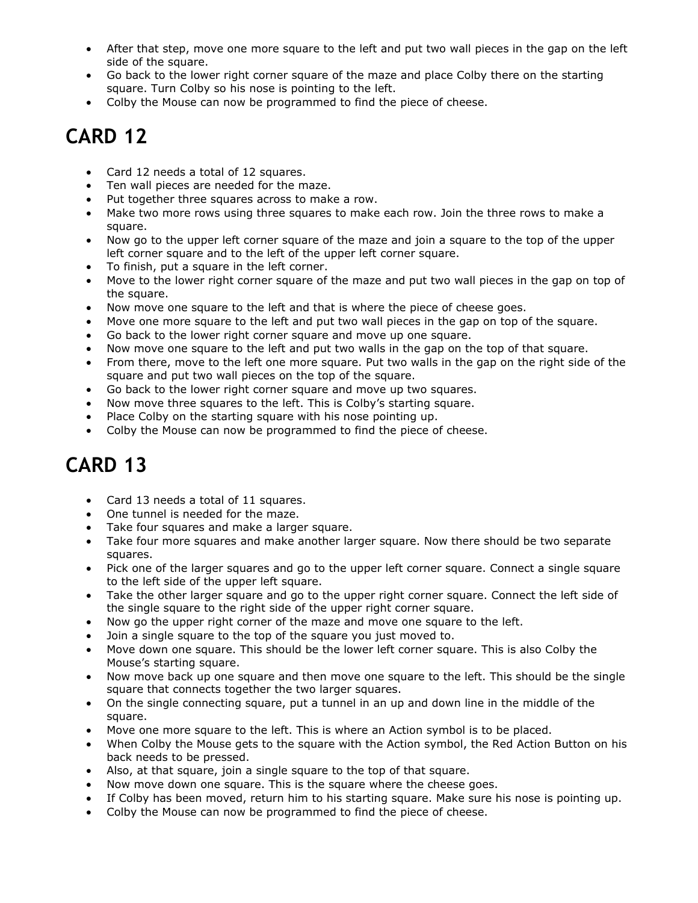- <span id="page-11-0"></span> • After that step, move one more square to the left and put two wall pieces in the gap on the left side of the square.
- • Go back to the lower right corner square of the maze and place Colby there on the starting square. Turn Colby so his nose is pointing to the left.
- Colby the Mouse can now be programmed to find the piece of cheese.

- Card 12 needs a total of 12 squares.
- Ten wall pieces are needed for the maze.
- Put together three squares across to make a row.
- • Make two more rows using three squares to make each row. Join the three rows to make a square.
- • Now go to the upper left corner square of the maze and join a square to the top of the upper left corner square and to the left of the upper left corner square.
- To finish, put a square in the left corner.
- • Move to the lower right corner square of the maze and put two wall pieces in the gap on top of the square.
- Now move one square to the left and that is where the piece of cheese goes.
- Move one more square to the left and put two wall pieces in the gap on top of the square.
- Go back to the lower right corner square and move up one square.
- Now move one square to the left and put two walls in the gap on the top of that square.
- • From there, move to the left one more square. Put two walls in the gap on the right side of the square and put two wall pieces on the top of the square.
- Go back to the lower right corner square and move up two squares.
- Now move three squares to the left. This is Colby's starting square.
- Place Colby on the starting square with his nose pointing up.
- Colby the Mouse can now be programmed to find the piece of cheese.

- Card 13 needs a total of 11 squares.
- One tunnel is needed for the maze.
- Take four squares and make a larger square.
- • Take four more squares and make another larger square. Now there should be two separate squares.
- • Pick one of the larger squares and go to the upper left corner square. Connect a single square to the left side of the upper left square.
- • Take the other larger square and go to the upper right corner square. Connect the left side of the single square to the right side of the upper right corner square.
- Now go the upper right corner of the maze and move one square to the left.
- Join a single square to the top of the square you just moved to.
- • Move down one square. This should be the lower left corner square. This is also Colby the Mouse's starting square.
- • Now move back up one square and then move one square to the left. This should be the single square that connects together the two larger squares.
- • On the single connecting square, put a tunnel in an up and down line in the middle of the square.
- Move one more square to the left. This is where an Action symbol is to be placed.
- • When Colby the Mouse gets to the square with the Action symbol, the Red Action Button on his back needs to be pressed.
- Also, at that square, join a single square to the top of that square.
- Now move down one square. This is the square where the cheese goes.
- If Colby has been moved, return him to his starting square. Make sure his nose is pointing up.
- Colby the Mouse can now be programmed to find the piece of cheese.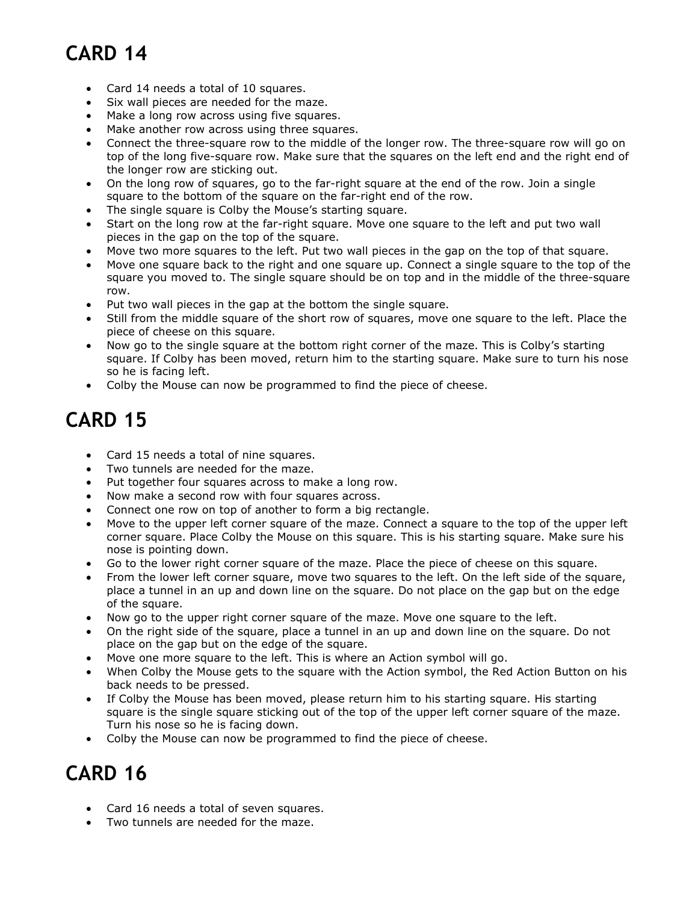- <span id="page-12-0"></span>• Card 14 needs a total of 10 squares.
- Six wall pieces are needed for the maze.
- Make a long row across using five squares.
- Make another row across using three squares.
- • Connect the three-square row to the middle of the longer row. The three-square row will go on top of the long five-square row. Make sure that the squares on the left end and the right end of the longer row are sticking out.
- • On the long row of squares, go to the far-right square at the end of the row. Join a single square to the bottom of the square on the far-right end of the row.
- The single square is Colby the Mouse's starting square.
- • Start on the long row at the far-right square. Move one square to the left and put two wall pieces in the gap on the top of the square.
- Move two more squares to the left. Put two wall pieces in the gap on the top of that square.
- • Move one square back to the right and one square up. Connect a single square to the top of the square you moved to. The single square should be on top and in the middle of the three-square row.
- Put two wall pieces in the gap at the bottom the single square.
- • Still from the middle square of the short row of squares, move one square to the left. Place the piece of cheese on this square.
- • Now go to the single square at the bottom right corner of the maze. This is Colby's starting square. If Colby has been moved, return him to the starting square. Make sure to turn his nose so he is facing left.
- Colby the Mouse can now be programmed to find the piece of cheese.

#### **CARD 15**

- Card 15 needs a total of nine squares.
- Two tunnels are needed for the maze.
- Put together four squares across to make a long row.
- Now make a second row with four squares across.
- Connect one row on top of another to form a big rectangle.
- • Move to the upper left corner square of the maze. Connect a square to the top of the upper left corner square. Place Colby the Mouse on this square. This is his starting square. Make sure his nose is pointing down.
- Go to the lower right corner square of the maze. Place the piece of cheese on this square.
- • From the lower left corner square, move two squares to the left. On the left side of the square, place a tunnel in an up and down line on the square. Do not place on the gap but on the edge of the square.
- Now go to the upper right corner square of the maze. Move one square to the left.
- • On the right side of the square, place a tunnel in an up and down line on the square. Do not place on the gap but on the edge of the square.
- Move one more square to the left. This is where an Action symbol will go.
- • When Colby the Mouse gets to the square with the Action symbol, the Red Action Button on his back needs to be pressed.
- • If Colby the Mouse has been moved, please return him to his starting square. His starting square is the single square sticking out of the top of the upper left corner square of the maze. Turn his nose so he is facing down.
- Colby the Mouse can now be programmed to find the piece of cheese.

- Card 16 needs a total of seven squares.
- Two tunnels are needed for the maze.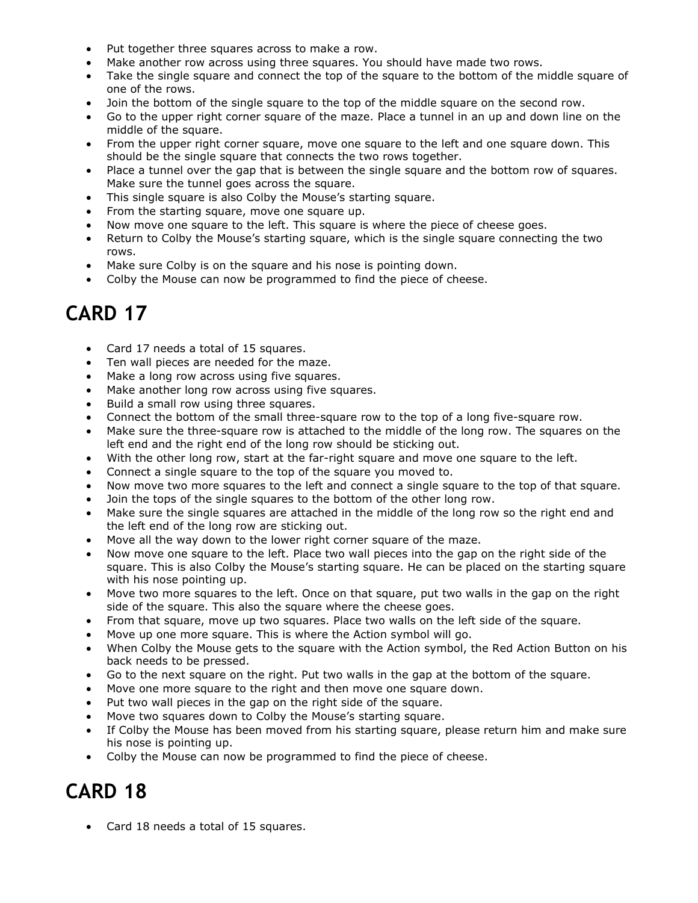- <span id="page-13-0"></span>• Put together three squares across to make a row.
- Make another row across using three squares. You should have made two rows.
- • Take the single square and connect the top of the square to the bottom of the middle square of one of the rows.
- Join the bottom of the single square to the top of the middle square on the second row.
- • Go to the upper right corner square of the maze. Place a tunnel in an up and down line on the middle of the square.
- • From the upper right corner square, move one square to the left and one square down. This should be the single square that connects the two rows together.
- • Place a tunnel over the gap that is between the single square and the bottom row of squares. Make sure the tunnel goes across the square.
- This single square is also Colby the Mouse's starting square.
- From the starting square, move one square up.
- Now move one square to the left. This square is where the piece of cheese goes.
- • Return to Colby the Mouse's starting square, which is the single square connecting the two rows.
- Make sure Colby is on the square and his nose is pointing down.
- Colby the Mouse can now be programmed to find the piece of cheese.

- Card 17 needs a total of 15 squares.
- Ten wall pieces are needed for the maze.
- Make a long row across using five squares.
- Make another long row across using five squares.
- Build a small row using three squares.
- Connect the bottom of the small three-square row to the top of a long five-square row.
- • Make sure the three-square row is attached to the middle of the long row. The squares on the left end and the right end of the long row should be sticking out.
- With the other long row, start at the far-right square and move one square to the left.
- Connect a single square to the top of the square you moved to.
- Now move two more squares to the left and connect a single square to the top of that square.
- Join the tops of the single squares to the bottom of the other long row.
- • Make sure the single squares are attached in the middle of the long row so the right end and the left end of the long row are sticking out.
- Move all the way down to the lower right corner square of the maze.
- • Now move one square to the left. Place two wall pieces into the gap on the right side of the square. This is also Colby the Mouse's starting square. He can be placed on the starting square with his nose pointing up.
- • Move two more squares to the left. Once on that square, put two walls in the gap on the right side of the square. This also the square where the cheese goes.
- From that square, move up two squares. Place two walls on the left side of the square.
- Move up one more square. This is where the Action symbol will go.
- • When Colby the Mouse gets to the square with the Action symbol, the Red Action Button on his back needs to be pressed.
- Go to the next square on the right. Put two walls in the gap at the bottom of the square.
- Move one more square to the right and then move one square down.
- Put two wall pieces in the gap on the right side of the square.
- Move two squares down to Colby the Mouse's starting square.
- • If Colby the Mouse has been moved from his starting square, please return him and make sure his nose is pointing up.
- Colby the Mouse can now be programmed to find the piece of cheese.

#### **CARD 18**

• Card 18 needs a total of 15 squares.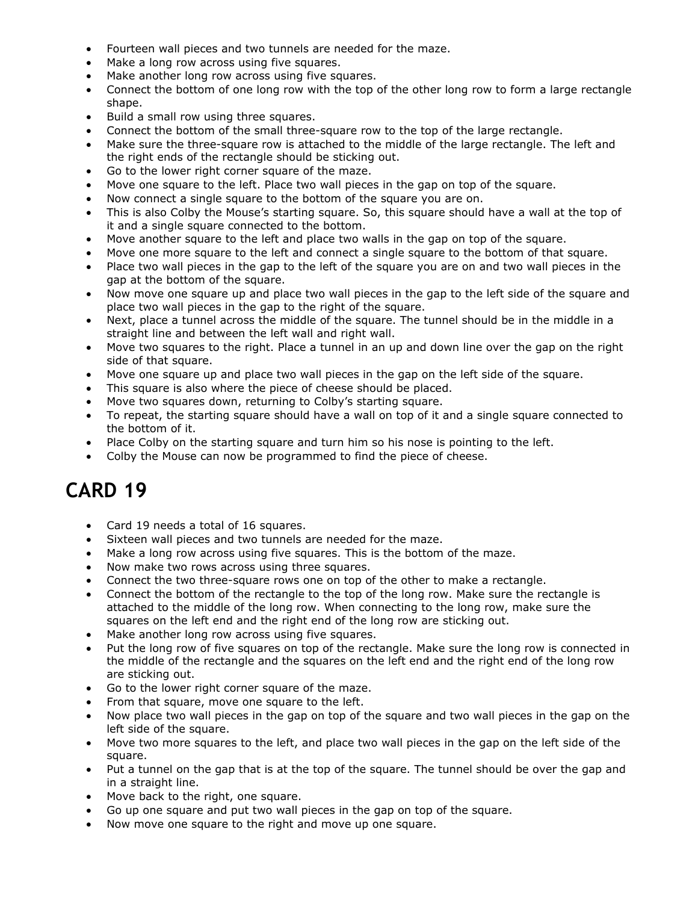- <span id="page-14-0"></span>• Fourteen wall pieces and two tunnels are needed for the maze.
- Make a long row across using five squares.
- Make another long row across using five squares.
- • Connect the bottom of one long row with the top of the other long row to form a large rectangle shape.
- Build a small row using three squares.
- Connect the bottom of the small three-square row to the top of the large rectangle.
- • Make sure the three-square row is attached to the middle of the large rectangle. The left and the right ends of the rectangle should be sticking out.
- Go to the lower right corner square of the maze.
- Move one square to the left. Place two wall pieces in the gap on top of the square.
- Now connect a single square to the bottom of the square you are on.
- • This is also Colby the Mouse's starting square. So, this square should have a wall at the top of it and a single square connected to the bottom.
- Move another square to the left and place two walls in the gap on top of the square.
- Move one more square to the left and connect a single square to the bottom of that square.
- • Place two wall pieces in the gap to the left of the square you are on and two wall pieces in the gap at the bottom of the square.
- • Now move one square up and place two wall pieces in the gap to the left side of the square and place two wall pieces in the gap to the right of the square.
- • Next, place a tunnel across the middle of the square. The tunnel should be in the middle in a straight line and between the left wall and right wall.
- • Move two squares to the right. Place a tunnel in an up and down line over the gap on the right side of that square.
- Move one square up and place two wall pieces in the gap on the left side of the square.
- This square is also where the piece of cheese should be placed.
- Move two squares down, returning to Colby's starting square.
- • To repeat, the starting square should have a wall on top of it and a single square connected to the bottom of it.
- Place Colby on the starting square and turn him so his nose is pointing to the left.
- Colby the Mouse can now be programmed to find the piece of cheese.

- Card 19 needs a total of 16 squares.
- Sixteen wall pieces and two tunnels are needed for the maze.
- Make a long row across using five squares. This is the bottom of the maze.
- Now make two rows across using three squares.
- Connect the two three-square rows one on top of the other to make a rectangle.
- • Connect the bottom of the rectangle to the top of the long row. Make sure the rectangle is attached to the middle of the long row. When connecting to the long row, make sure the squares on the left end and the right end of the long row are sticking out.
- Make another long row across using five squares.
- • Put the long row of five squares on top of the rectangle. Make sure the long row is connected in the middle of the rectangle and the squares on the left end and the right end of the long row are sticking out.
- Go to the lower right corner square of the maze.
- From that square, move one square to the left.
- • Now place two wall pieces in the gap on top of the square and two wall pieces in the gap on the left side of the square.
- • Move two more squares to the left, and place two wall pieces in the gap on the left side of the square.
- • Put a tunnel on the gap that is at the top of the square. The tunnel should be over the gap and in a straight line.
- Move back to the right, one square.
- Go up one square and put two wall pieces in the gap on top of the square.
- Now move one square to the right and move up one square.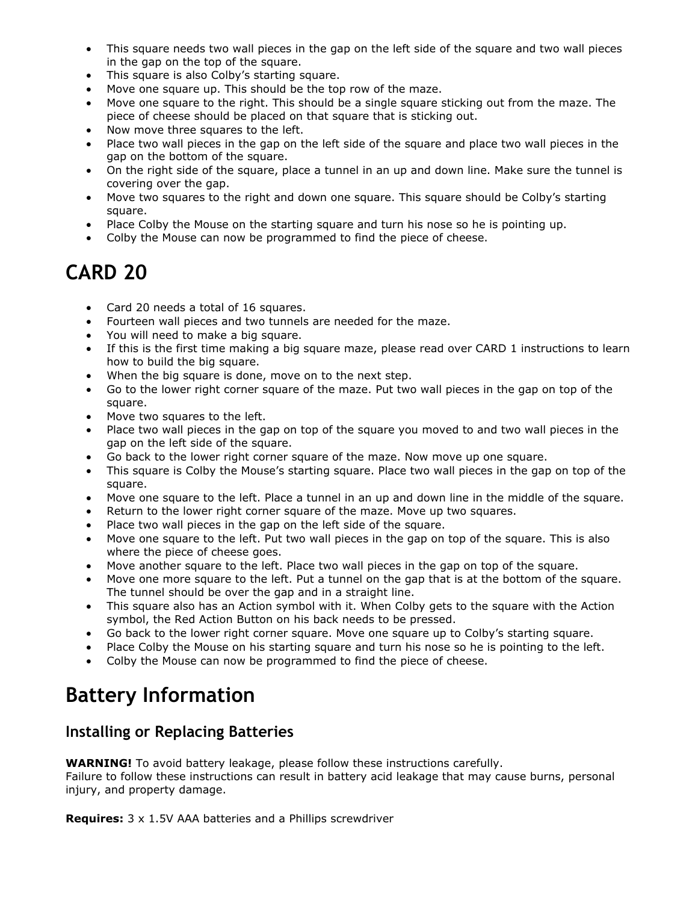- <span id="page-15-0"></span> • This square needs two wall pieces in the gap on the left side of the square and two wall pieces in the gap on the top of the square.
- This square is also Colby's starting square.
- Move one square up. This should be the top row of the maze.
- • Move one square to the right. This should be a single square sticking out from the maze. The piece of cheese should be placed on that square that is sticking out.
- Now move three squares to the left.
- • Place two wall pieces in the gap on the left side of the square and place two wall pieces in the gap on the bottom of the square.
- • On the right side of the square, place a tunnel in an up and down line. Make sure the tunnel is covering over the gap.
- • Move two squares to the right and down one square. This square should be Colby's starting square.
- Place Colby the Mouse on the starting square and turn his nose so he is pointing up.
- Colby the Mouse can now be programmed to find the piece of cheese.

- Card 20 needs a total of 16 squares.
- Fourteen wall pieces and two tunnels are needed for the maze.
- You will need to make a big square.
- • If this is the first time making a big square maze, please read over CARD 1 instructions to learn how to build the big square.
- When the big square is done, move on to the next step.
- • Go to the lower right corner square of the maze. Put two wall pieces in the gap on top of the square.
- Move two squares to the left.
- • Place two wall pieces in the gap on top of the square you moved to and two wall pieces in the gap on the left side of the square.
- Go back to the lower right corner square of the maze. Now move up one square.
- • This square is Colby the Mouse's starting square. Place two wall pieces in the gap on top of the square.
- Move one square to the left. Place a tunnel in an up and down line in the middle of the square.
- Return to the lower right corner square of the maze. Move up two squares.
- Place two wall pieces in the gap on the left side of the square.
- • Move one square to the left. Put two wall pieces in the gap on top of the square. This is also where the piece of cheese goes.
- Move another square to the left. Place two wall pieces in the gap on top of the square.
- • Move one more square to the left. Put a tunnel on the gap that is at the bottom of the square. The tunnel should be over the gap and in a straight line.
- • This square also has an Action symbol with it. When Colby gets to the square with the Action symbol, the Red Action Button on his back needs to be pressed.
- Go back to the lower right corner square. Move one square up to Colby's starting square.
- Place Colby the Mouse on his starting square and turn his nose so he is pointing to the left.
- Colby the Mouse can now be programmed to find the piece of cheese.

#### **Battery Information**

#### **Installing or Replacing Batteries**

**WARNING!** To avoid battery leakage, please follow these instructions carefully.

 Failure to follow these instructions can result in battery acid leakage that may cause burns, personal injury, and property damage.

**Requires:** 3 x 1.5V AAA batteries and a Phillips screwdriver